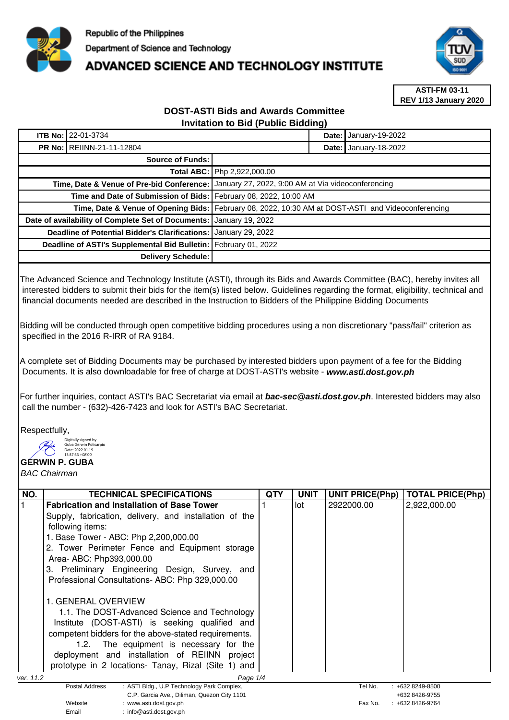

# **ADVANCED SCIENCE AND TECHNOLOGY INSTITUTE**



**ASTI-FM 03-11 REV 1/13 January 2020**

## **DOST-ASTI Bids and Awards Committee Invitation to Bid (Public Bidding)**

|                                                                     | <b>ITB No: 22-01-3734</b>                                       |                                                                                                    |                              | <b>Date: January-19-2022</b> |
|---------------------------------------------------------------------|-----------------------------------------------------------------|----------------------------------------------------------------------------------------------------|------------------------------|------------------------------|
| <b>PR No: REIINN-21-11-12804</b>                                    |                                                                 |                                                                                                    | <b>Date: January-18-2022</b> |                              |
| <b>Source of Funds:</b>                                             |                                                                 |                                                                                                    |                              |                              |
|                                                                     |                                                                 | <b>Total ABC:   Php 2,922,000.00</b>                                                               |                              |                              |
|                                                                     |                                                                 | Time, Date & Venue of Pre-bid Conference:   January 27, 2022, 9:00 AM at Via videoconferencing     |                              |                              |
| Time and Date of Submission of Bids: February 08, 2022, 10:00 AM    |                                                                 |                                                                                                    |                              |                              |
|                                                                     |                                                                 | Time, Date & Venue of Opening Bids: February 08, 2022, 10:30 AM at DOST-ASTI and Videoconferencing |                              |                              |
| Date of availability of Complete Set of Documents: January 19, 2022 |                                                                 |                                                                                                    |                              |                              |
| Deadline of Potential Bidder's Clarifications: January 29, 2022     |                                                                 |                                                                                                    |                              |                              |
|                                                                     | Deadline of ASTI's Supplemental Bid Bulletin: February 01, 2022 |                                                                                                    |                              |                              |
| Delivery Schedule:                                                  |                                                                 |                                                                                                    |                              |                              |

The Advanced Science and Technology Institute (ASTI), through its Bids and Awards Committee (BAC), hereby invites all interested bidders to submit their bids for the item(s) listed below. Guidelines regarding the format, eligibility, technical and financial documents needed are described in the Instruction to Bidders of the Philippine Bidding Documents

Bidding will be conducted through open competitive bidding procedures using a non discretionary "pass/fail" criterion as specified in the 2016 R-IRR of RA 9184.

A complete set of Bidding Documents may be purchased by interested bidders upon payment of a fee for the Bidding Documents. It is also downloadable for free of charge at DOST-ASTI's website - **www.asti.dost.gov.ph**

For further inquiries, contact ASTI's BAC Secretariat via email at **bac-sec@asti.dost.gov.ph**. Interested bidders may also call the number - (632)-426-7423 and look for ASTI's BAC Secretariat.

Respectfully,

Digitally signed by Guba Gerwin Policarpio Date: 2022.01.19

Email : info@asti.dost.gov.ph



BAC Chairman

| NO.                                         | <b>TECHNICAL SPECIFICATIONS</b>                              | <b>QTY</b> | <b>UNIT</b> | <b>UNIT PRICE(Php)</b> | <b>TOTAL PRICE(Php)</b> |
|---------------------------------------------|--------------------------------------------------------------|------------|-------------|------------------------|-------------------------|
|                                             | <b>Fabrication and Installation of Base Tower</b>            |            | lot         | 2922000.00             | 2,922,000.00            |
|                                             | Supply, fabrication, delivery, and installation of the       |            |             |                        |                         |
|                                             | following items:                                             |            |             |                        |                         |
|                                             | 1. Base Tower - ABC: Php 2,200,000.00                        |            |             |                        |                         |
|                                             | 2. Tower Perimeter Fence and Equipment storage               |            |             |                        |                         |
|                                             | Area- ABC: Php393,000.00                                     |            |             |                        |                         |
|                                             | 3. Preliminary Engineering Design, Survey, and               |            |             |                        |                         |
|                                             | Professional Consultations-ABC: Php 329,000.00               |            |             |                        |                         |
|                                             |                                                              |            |             |                        |                         |
|                                             | 1. GENERAL OVERVIEW                                          |            |             |                        |                         |
|                                             | 1.1. The DOST-Advanced Science and Technology                |            |             |                        |                         |
|                                             | Institute (DOST-ASTI) is seeking qualified and               |            |             |                        |                         |
|                                             | competent bidders for the above-stated requirements.         |            |             |                        |                         |
|                                             | 1.2. The equipment is necessary for the                      |            |             |                        |                         |
|                                             | deployment and installation of REIINN project                |            |             |                        |                         |
|                                             | prototype in 2 locations- Tanay, Rizal (Site 1) and          |            |             |                        |                         |
| ver. 11.2                                   | Page 1/4                                                     |            |             |                        |                         |
|                                             | Postal Address<br>: ASTI Bldg., U.P Technology Park Complex, |            |             | Tel No.                | $: +6328249 - 8500$     |
| C.P. Garcia Ave., Diliman, Quezon City 1101 |                                                              |            |             |                        | +632 8426-9755          |

Website : www.asti.dost.gov.ph Fax No. : +632 8426-9764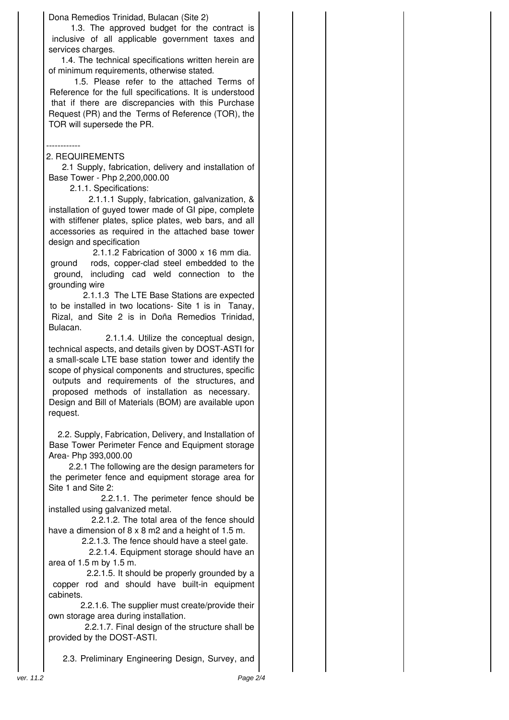Dona Remedios Trinidad, Bulacan (Site 2)

1.3. The approved budget for the contract is inclusive of all applicable government taxes and services charges.

1.4. The technical specifications written herein are of minimum requirements, otherwise stated.

1.5. Please refer to the attached Terms of Reference for the full specifications. It is understood that if there are discrepancies with this Purchase Request (PR) and the Terms of Reference (TOR), the TOR will supersede the PR.

#### ------------

#### 2. REQUIREMENTS

2.1 Supply, fabrication, delivery and installation of Base Tower - Php 2,200,000.00

2.1.1. Specifications:

2.1.1.1 Supply, fabrication, galvanization, & installation of guyed tower made of GI pipe, complete with stiffener plates, splice plates, web bars, and all accessories as required in the attached base tower design and specification

2.1.1.2 Fabrication of 3000 x 16 mm dia. ground rods, copper-clad steel embedded to the ground, including cad weld connection to the grounding wire

2.1.1.3 The LTE Base Stations are expected to be installed in two locations- Site 1 is in Tanay, Rizal, and Site 2 is in Doña Remedios Trinidad, Bulacan.

2.1.1.4. Utilize the conceptual design, technical aspects, and details given by DOST-ASTI for a small-scale LTE base station tower and identify the scope of physical components and structures, specific outputs and requirements of the structures, and proposed methods of installation as necessary.  Design and Bill of Materials (BOM) are available upon request.

2.2. Supply, Fabrication, Delivery, and Installation of Base Tower Perimeter Fence and Equipment storage Area- Php 393,000.00

2.2.1 The following are the design parameters for the perimeter fence and equipment storage area for Site 1 and Site 2:

2.2.1.1. The perimeter fence should be installed using galvanized metal.

2.2.1.2. The total area of the fence should have a dimension of 8 x 8 m2 and a height of 1.5 m.

2.2.1.3. The fence should have a steel gate.

2.2.1.4. Equipment storage should have an area of 1.5 m by 1.5 m.

2.2.1.5. It should be properly grounded by a copper rod and should have built-in equipment cabinets.

2.2.1.6. The supplier must create/provide their own storage area during installation.

2.2.1.7. Final design of the structure shall be provided by the DOST-ASTI.

2.3. Preliminary Engineering Design, Survey, and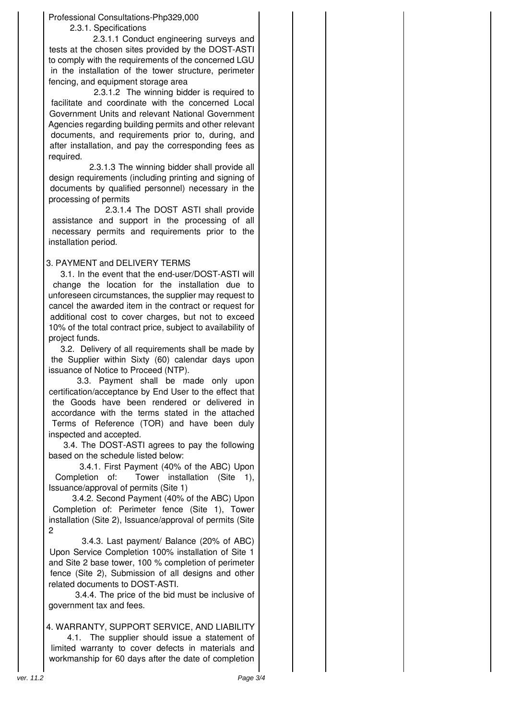#### Professional Consultations-Php329,000 2.3.1. Specifications

2.3.1.1 Conduct engineering surveys and tests at the chosen sites provided by the DOST-ASTI to comply with the requirements of the concerned LGU in the installation of the tower structure, perimeter fencing, and equipment storage area

2.3.1.2 The winning bidder is required to facilitate and coordinate with the concerned Local Government Units and relevant National Government Agencies regarding building permits and other relevant documents, and requirements prior to, during, and after installation, and pay the corresponding fees as required.

2.3.1.3 The winning bidder shall provide all design requirements (including printing and signing of documents by qualified personnel) necessary in the processing of permits

2.3.1.4 The DOST ASTI shall provide assistance and support in the processing of all necessary permits and requirements prior to the installation period.

### 3. PAYMENT and DELIVERY TERMS

3.1. In the event that the end-user/DOST-ASTI will change the location for the installation due to unforeseen circumstances, the supplier may request to cancel the awarded item in the contract or request for additional cost to cover charges, but not to exceed 10% of the total contract price, subject to availability of project funds.

3.2. Delivery of all requirements shall be made by the Supplier within Sixty (60) calendar days upon issuance of Notice to Proceed (NTP).

3.3. Payment shall be made only upon certification/acceptance by End User to the effect that the Goods have been rendered or delivered in accordance with the terms stated in the attached Terms of Reference (TOR) and have been duly inspected and accepted.

3.4. The DOST-ASTI agrees to pay the following based on the schedule listed below:

3.4.1. First Payment (40% of the ABC) Upon Completion of: Tower installation (Site 1), Issuance/approval of permits (Site 1)

3.4.2. Second Payment (40% of the ABC) Upon Completion of: Perimeter fence (Site 1), Tower installation (Site 2), Issuance/approval of permits (Site  $\mathfrak{p}$ 

3.4.3. Last payment/ Balance (20% of ABC) Upon Service Completion 100% installation of Site 1 and Site 2 base tower, 100 % completion of perimeter fence (Site 2), Submission of all designs and other related documents to DOST-ASTI.

3.4.4. The price of the bid must be inclusive of government tax and fees.

4. WARRANTY, SUPPORT SERVICE, AND LIABILITY

4.1. The supplier should issue a statement of limited warranty to cover defects in materials and workmanship for 60 days after the date of completion